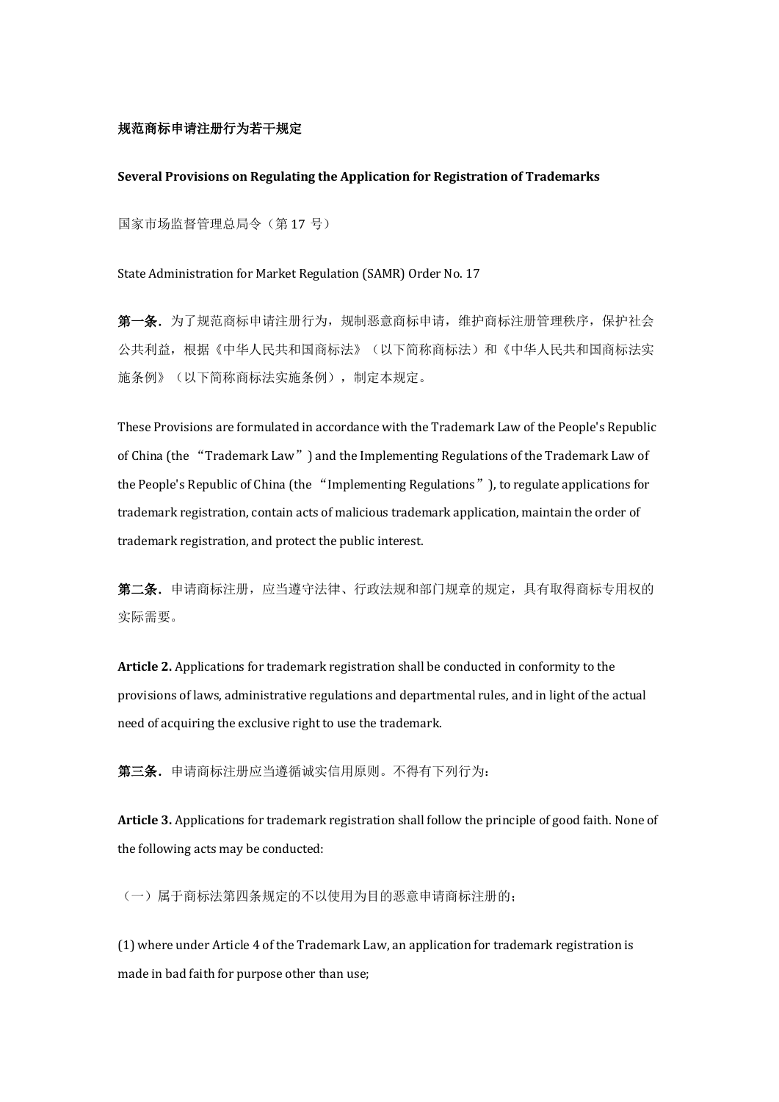## 规范商标申请注册行为若干规定

## **Several Provisions on Regulating the Application for Registration of Trademarks**

国家市场监督管理总局令(第 17 号)

State Administration for Market Regulation (SAMR) Order No. 17

第一条. 为了规范商标申请注册行为, 规制恶意商标申请, 维护商标注册管理秩序, 保护社会 公共利益,根据《中华人民共和国商标法》(以下简称商标法)和《中华人民共和国商标法实 施条例》(以下简称商标法实施条例),制定本规定。

These Provisions are formulated in accordance with the Trademark Law of the People's Republic of China (the "Trademark Law") and the Implementing Regulations of the Trademark Law of the People's Republic of China (the "Implementing Regulations"), to regulate applications for trademark registration, contain acts of malicious trademark application, maintain the order of trademark registration, and protect the public interest.

第二条. 申请商标注册, 应当遵守法律、行政法规和部门规章的规定, 具有取得商标专用权的 实际需要。

**Article 2.** Applications for trademark registration shall be conducted in conformity to the provisions of laws, administrative regulations and departmental rules, and in light of the actual need of acquiring the exclusive right to use the trademark.

第三条.申请商标注册应当遵循诚实信用原则。不得有下列行为:

**Article 3.** Applications for trademark registration shall follow the principle of good faith. None of the following acts may be conducted:

(一)属于商标法第四条规定的不以使用为目的恶意申请商标注册的;

(1) where under Article 4 of the Trademark Law, an application for trademark registration is made in bad faith for purpose other than use;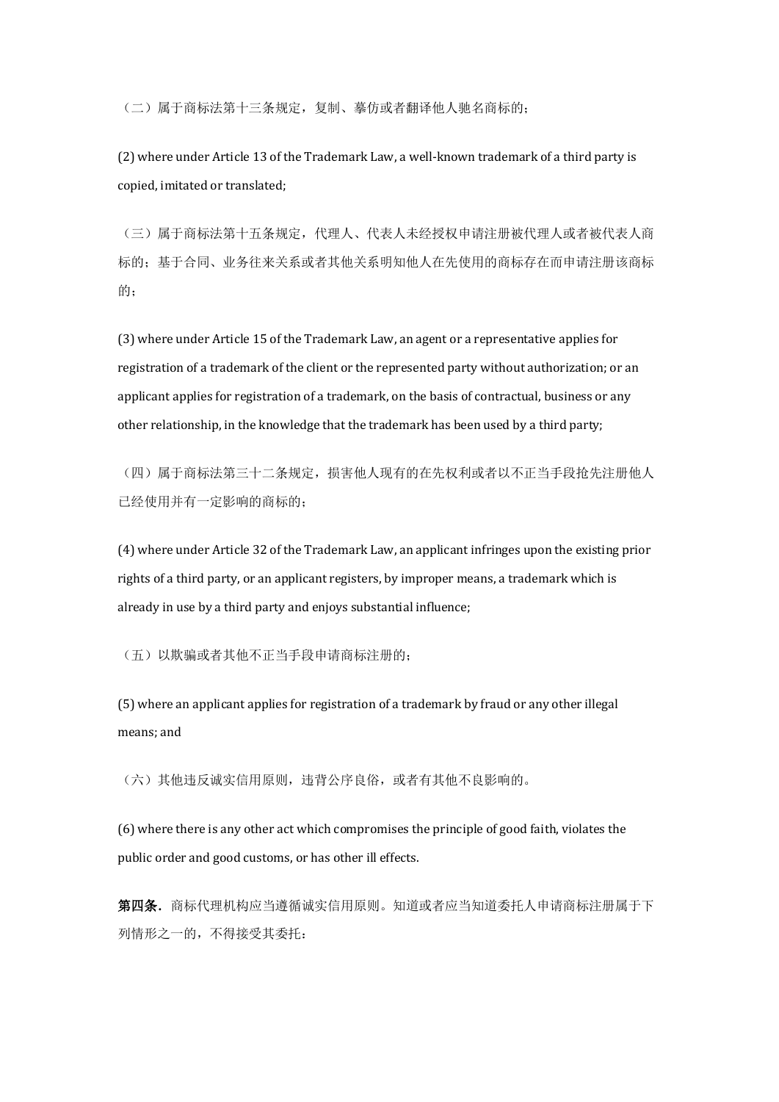(二)属于商标法第十三条规定,复制、摹仿或者翻译他人驰名商标的;

(2) where under Article 13 of the Trademark Law, a well-known trademark of a third party is copied, imitated or translated;

(三)属于商标法第十五条规定,代理人、代表人未经授权申请注册被代理人或者被代表人商 标的;基于合同、业务往来关系或者其他关系明知他人在先使用的商标存在而申请注册该商标 的;

(3) where under Article 15 of the Trademark Law, an agent or a representative applies for registration of a trademark of the client or the represented party without authorization; or an applicant applies for registration of a trademark, on the basis of contractual, business or any other relationship, in the knowledge that the trademark has been used by a third party;

(四)属于商标法第三十二条规定,损害他人现有的在先权利或者以不正当手段抢先注册他人 已经使用并有一定影响的商标的;

(4) where under Article 32 of the Trademark Law, an applicant infringes upon the existing prior rights of a third party, or an applicant registers, by improper means, a trademark which is already in use by a third party and enjoys substantial influence;

(五)以欺骗或者其他不正当手段申请商标注册的;

(5) where an applicant applies for registration of a trademark by fraud or any other illegal means; and

(六)其他违反诚实信用原则,违背公序良俗,或者有其他不良影响的。

(6) where there is any other act which compromises the principle of good faith, violates the public order and good customs, or has other ill effects.

第四条.商标代理机构应当遵循诚实信用原则。知道或者应当知道委托人申请商标注册属于下 列情形之一的,不得接受其委托: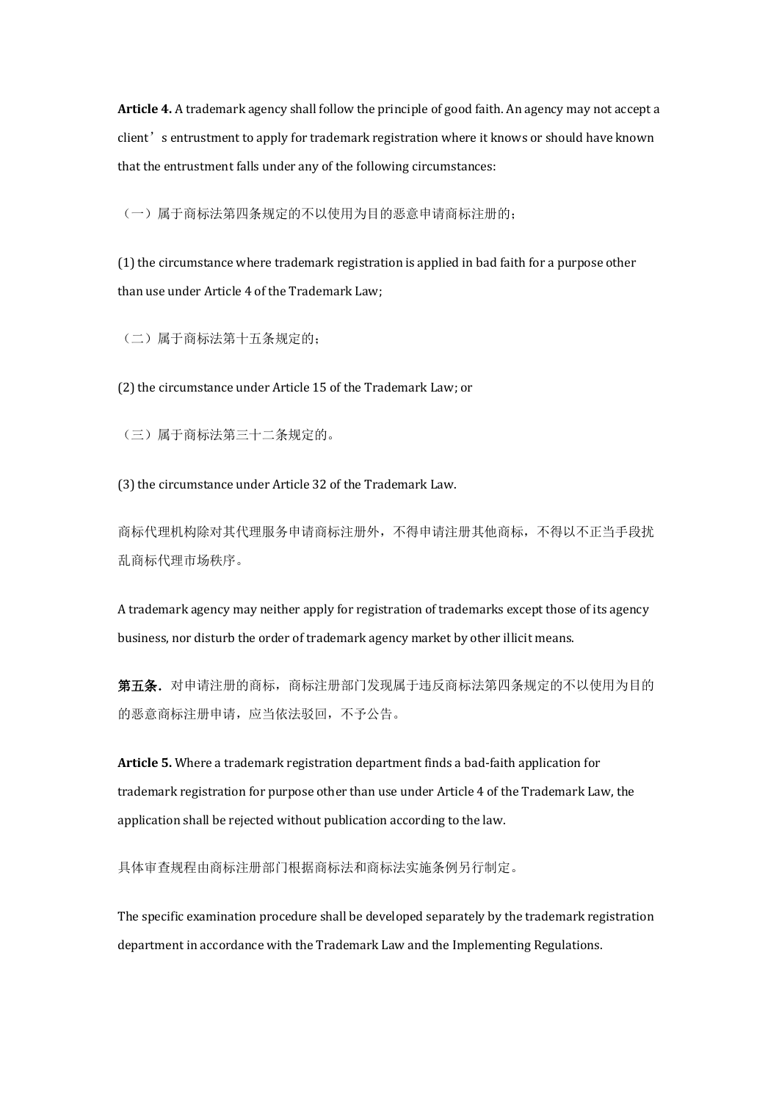**Article 4.** A trademark agency shall follow the principle of good faith. An agency may not accept a client's entrustment to apply for trademark registration where it knows or should have known that the entrustment falls under any of the following circumstances:

(一)属于商标法第四条规定的不以使用为目的恶意申请商标注册的;

(1) the circumstance where trademark registration is applied in bad faith for a purpose other than use under Article 4 of the Trademark Law;

(二)属于商标法第十五条规定的;

(2) the circumstance under Article 15 of the Trademark Law; or

(三)属于商标法第三十二条规定的。

(3) the circumstance under Article 32 of the Trademark Law.

商标代理机构除对其代理服务申请商标注册外,不得申请注册其他商标,不得以不正当手段扰 乱商标代理市场秩序。

A trademark agency may neither apply for registration of trademarks except those of its agency business, nor disturb the order of trademark agency market by other illicit means.

第五条.对申请注册的商标,商标注册部门发现属于违反商标法第四条规定的不以使用为目的 的恶意商标注册申请,应当依法驳回,不予公告。

**Article 5.** Where a trademark registration department finds a bad-faith application for trademark registration for purpose other than use under Article 4 of the Trademark Law, the application shall be rejected without publication according to the law.

具体审查规程由商标注册部门根据商标法和商标法实施条例另行制定。

The specific examination procedure shall be developed separately by the trademark registration department in accordance with the Trademark Law and the Implementing Regulations.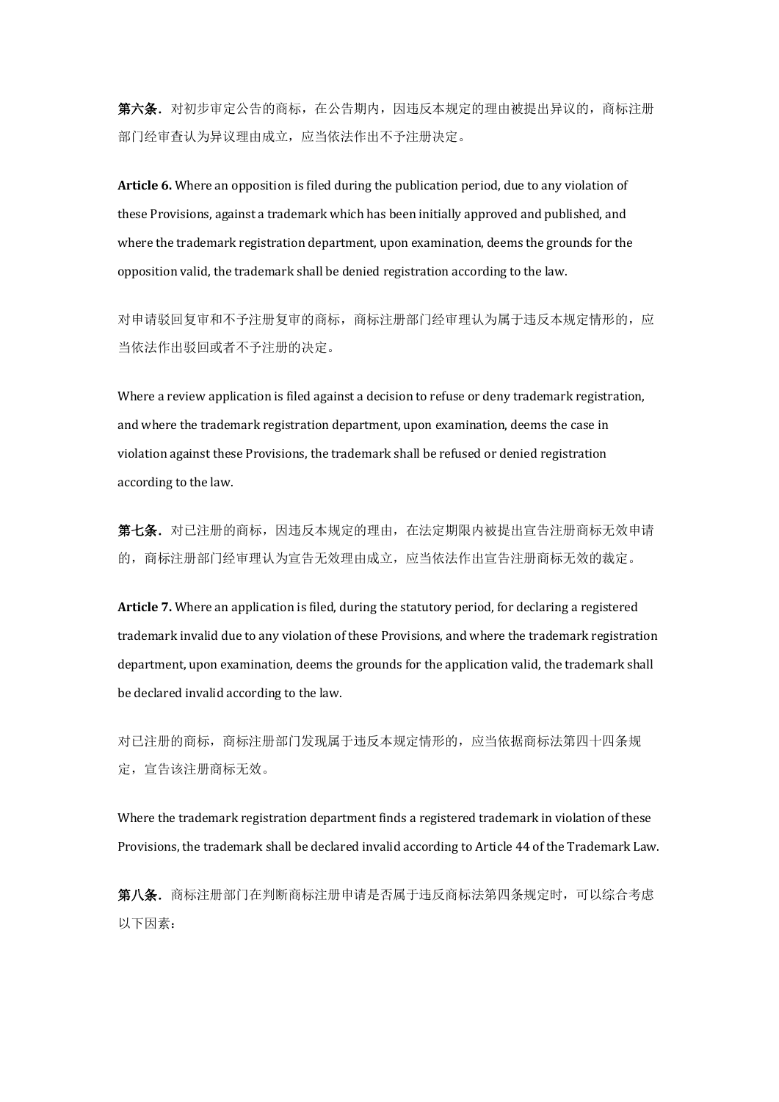第六条. 对初步审定公告的商标, 在公告期内, 因违反本规定的理由被提出异议的, 商标注册 部门经审查认为异议理由成立,应当依法作出不予注册决定。

**Article 6.** Where an opposition is filed during the publication period, due to any violation of these Provisions, against a trademark which has been initially approved and published, and where the trademark registration department, upon examination, deems the grounds for the opposition valid, the trademark shall be denied registration according to the law.

对申请驳回复审和不予注册复审的商标,商标注册部门经审理认为属于违反本规定情形的,应 当依法作出驳回或者不予注册的决定。

Where a review application is filed against a decision to refuse or deny trademark registration, and where the trademark registration department, upon examination, deems the case in violation against these Provisions, the trademark shall be refused or denied registration according to the law.

第七条.对已注册的商标,因违反本规定的理由,在法定期限内被提出宣告注册商标无效申请 的,商标注册部门经审理认为宣告无效理由成立,应当依法作出宣告注册商标无效的裁定。

**Article 7.** Where an application is filed, during the statutory period, for declaring a registered trademark invalid due to any violation of these Provisions, and where the trademark registration department, upon examination, deems the grounds for the application valid, the trademark shall be declared invalid according to the law.

对已注册的商标,商标注册部门发现属于违反本规定情形的,应当依据商标法第四十四条规 定,宣告该注册商标无效。

Where the trademark registration department finds a registered trademark in violation of these Provisions, the trademark shall be declared invalid according to Article 44 of the Trademark Law.

第八条. 商标注册部门在判断商标注册申请是否属于违反商标法第四条规定时,可以综合考虑 以下因素: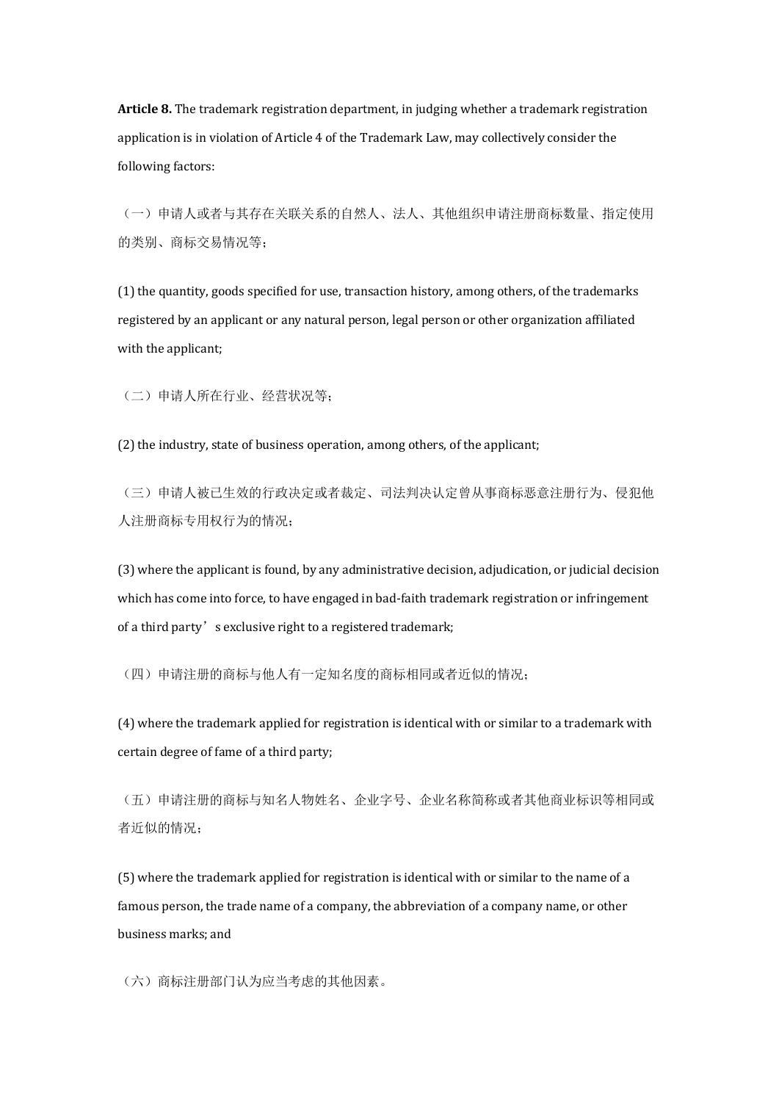**Article 8.** The trademark registration department, in judging whether a trademark registration application is in violation of Article 4 of the Trademark Law, may collectively consider the following factors:

(一)申请人或者与其存在关联关系的自然人、法人、其他组织申请注册商标数量、指定使用 的类别、商标交易情况等;

(1) the quantity, goods specified for use, transaction history, among others, of the trademarks registered by an applicant or any natural person, legal person or other organization affiliated with the applicant;

(二)申请人所在行业、经营状况等;

(2) the industry, state of business operation, among others, of the applicant;

(三)申请人被已生效的行政决定或者裁定、司法判决认定曾从事商标恶意注册行为、侵犯他 人注册商标专用权行为的情况;

(3) where the applicant is found, by any administrative decision, adjudication, or judicial decision which has come into force, to have engaged in bad-faith trademark registration or infringement of a third party's exclusive right to a registered trademark;

(四)申请注册的商标与他人有一定知名度的商标相同或者近似的情况;

(4) where the trademark applied for registration is identical with or similar to a trademark with certain degree of fame of a third party;

(五)申请注册的商标与知名人物姓名、企业字号、企业名称简称或者其他商业标识等相同或 者近似的情况;

(5) where the trademark applied for registration is identical with or similar to the name of a famous person, the trade name of a company, the abbreviation of a company name, or other business marks; and

(六)商标注册部门认为应当考虑的其他因素。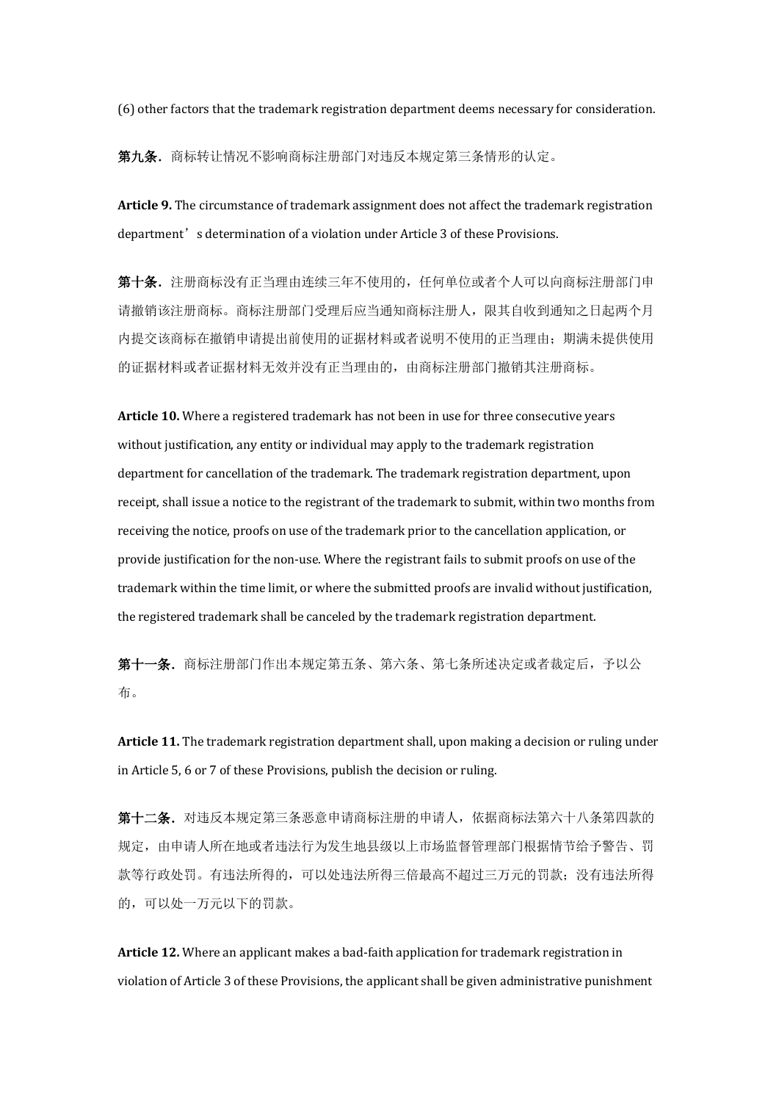(6) other factors that the trademark registration department deems necessary for consideration.

第九条.商标转让情况不影响商标注册部门对违反本规定第三条情形的认定。

**Article 9.** The circumstance of trademark assignment does not affect the trademark registration department's determination of a violation under Article 3 of these Provisions.

第十条.注册商标没有正当理由连续三年不使用的,任何单位或者个人可以向商标注册部门申 请撤销该注册商标。商标注册部门受理后应当通知商标注册人,限其自收到通知之日起两个月 内提交该商标在撤销申请提出前使用的证据材料或者说明不使用的正当理由;期满未提供使用 的证据材料或者证据材料无效并没有正当理由的,由商标注册部门撤销其注册商标。

**Article 10.** Where a registered trademark has not been in use for three consecutive years without justification, any entity or individual may apply to the trademark registration department for cancellation of the trademark. The trademark registration department, upon receipt, shall issue a notice to the registrant of the trademark to submit, within two months from receiving the notice, proofs on use of the trademark prior to the cancellation application, or provide justification for the non-use. Where the registrant fails to submit proofs on use of the trademark within the time limit, or where the submitted proofs are invalid without justification, the registered trademark shall be canceled by the trademark registration department.

第十一条.商标注册部门作出本规定第五条、第六条、第七条所述决定或者裁定后,予以公 布。

**Article 11.** The trademark registration department shall, upon making a decision or ruling under in Article 5, 6 or 7 of these Provisions, publish the decision or ruling.

第十二条.对违反本规定第三条恶意申请商标注册的申请人,依据商标法第六十八条第四款的 规定,由申请人所在地或者违法行为发生地县级以上市场监督管理部门根据情节给予警告、罚 款等行政处罚。有违法所得的,可以处违法所得三倍最高不超过三万元的罚款;没有违法所得 的,可以处一万元以下的罚款。

**Article 12.** Where an applicant makes a bad-faith application for trademark registration in violation of Article 3 of these Provisions, the applicant shall be given administrative punishment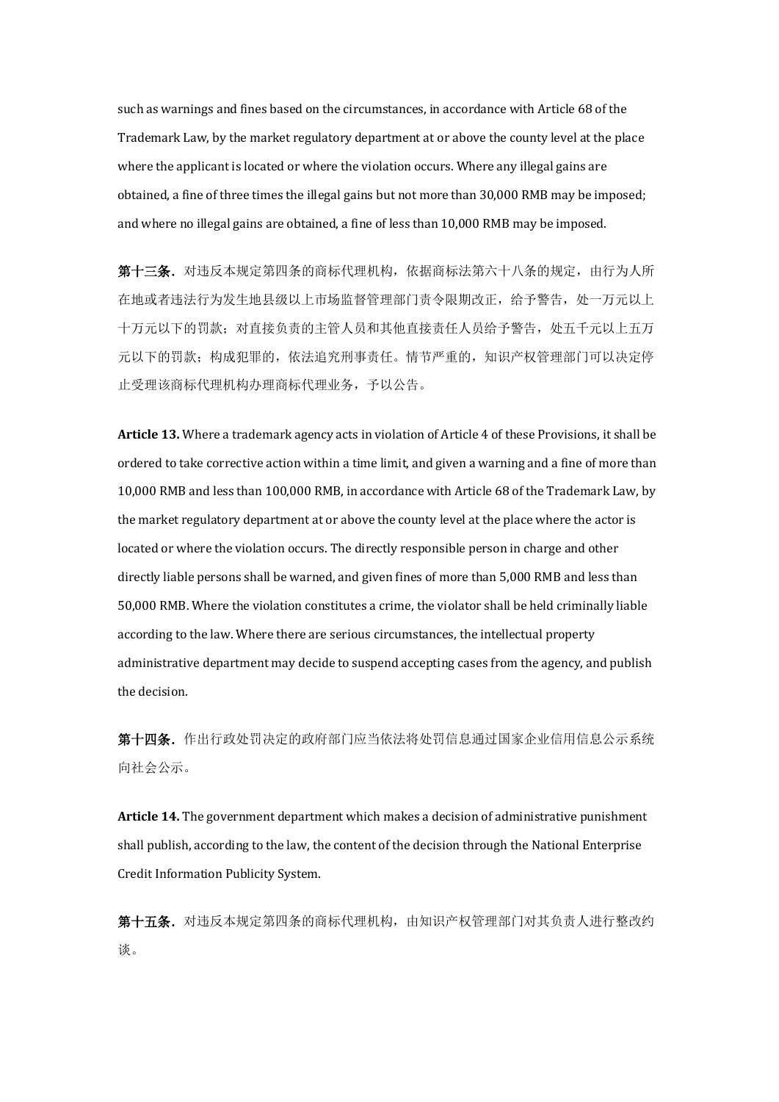such as warnings and fines based on the circumstances, in accordance with Article 68 of the Trademark Law, by the market regulatory department at or above the county level at the place where the applicant is located or where the violation occurs. Where any illegal gains are obtained, a fine of three times the illegal gains but not more than 30,000 RMB may be imposed; and where no illegal gains are obtained, a fine of less than 10,000 RMB may be imposed.

第十三条. 对违反本规定第四条的商标代理机构, 依据商标法第六十八条的规定, 由行为人所 在地或者违法行为发生地县级以上市场监督管理部门责令限期改正,给予警告,处一万元以上 十万元以下的罚款;对直接负责的主管人员和其他直接责任人员给予警告,处五千元以上五万 元以下的罚款;构成犯罪的,依法追究刑事责任。情节严重的,知识产权管理部门可以决定停 止受理该商标代理机构办理商标代理业务,予以公告。

**Article 13.** Where a trademark agency acts in violation of Article 4 of these Provisions, it shall be ordered to take corrective action within a time limit, and given a warning and a fine of more than 10,000 RMB and less than 100,000 RMB, in accordance with Article 68 of the Trademark Law, by the market regulatory department at or above the county level at the place where the actor is located or where the violation occurs. The directly responsible person in charge and other directly liable persons shall be warned, and given fines of more than 5,000 RMB and less than 50,000 RMB. Where the violation constitutes a crime, the violator shall be held criminally liable according to the law. Where there are serious circumstances, the intellectual property administrative department may decide to suspend accepting cases from the agency, and publish the decision.

第十四条.作出行政处罚决定的政府部门应当依法将处罚信息通过国家企业信用信息公示系统 向社会公示。

**Article 14.** The government department which makes a decision of administrative punishment shall publish, according to the law, the content of the decision through the National Enterprise Credit Information Publicity System.

第十五条.对违反本规定第四条的商标代理机构,由知识产权管理部门对其负责人进行整改约 谈。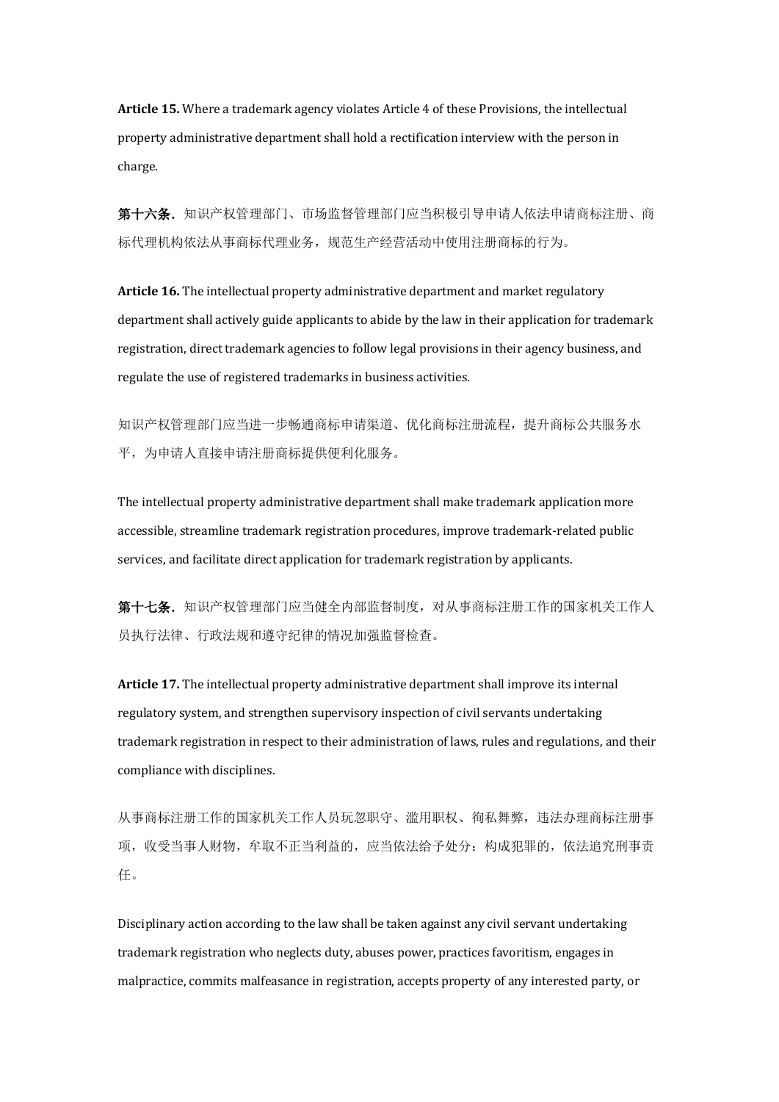**Article 15.** Where a trademark agency violates Article 4 of these Provisions, the intellectual property administrative department shall hold a rectification interview with the person in charge.

第十六条.知识产权管理部门、市场监督管理部门应当积极引导申请人依法申请商标注册、商 标代理机构依法从事商标代理业务,规范生产经营活动中使用注册商标的行为。

**Article 16.** The intellectual property administrative department and market regulatory department shall actively guide applicants to abide by the law in their application for trademark registration, direct trademark agencies to follow legal provisions in their agency business, and regulate the use of registered trademarks in business activities.

知识产权管理部门应当进一步畅通商标申请渠道、优化商标注册流程,提升商标公共服务水 平,为申请人直接申请注册商标提供便利化服务。

The intellectual property administrative department shall make trademark application more accessible, streamline trademark registration procedures, improve trademark-related public services, and facilitate direct application for trademark registration by applicants.

第十七条. 知识产权管理部门应当健全内部监督制度, 对从事商标注册工作的国家机关工作人 员执行法律、行政法规和遵守纪律的情况加强监督检查。

**Article 17.** The intellectual property administrative department shall improve its internal regulatory system, and strengthen supervisory inspection of civil servants undertaking trademark registration in respect to their administration of laws, rules and regulations, and their compliance with disciplines.

从事商标注册工作的国家机关工作人员玩忽职守、滥用职权、徇私舞弊,违法办理商标注册事 项,收受当事人财物,牟取不正当利益的,应当依法给予处分;构成犯罪的,依法追究刑事责 任。

Disciplinary action according to the law shall be taken against any civil servant undertaking trademark registration who neglects duty, abuses power, practices favoritism, engages in malpractice, commits malfeasance in registration, accepts property of any interested party, or